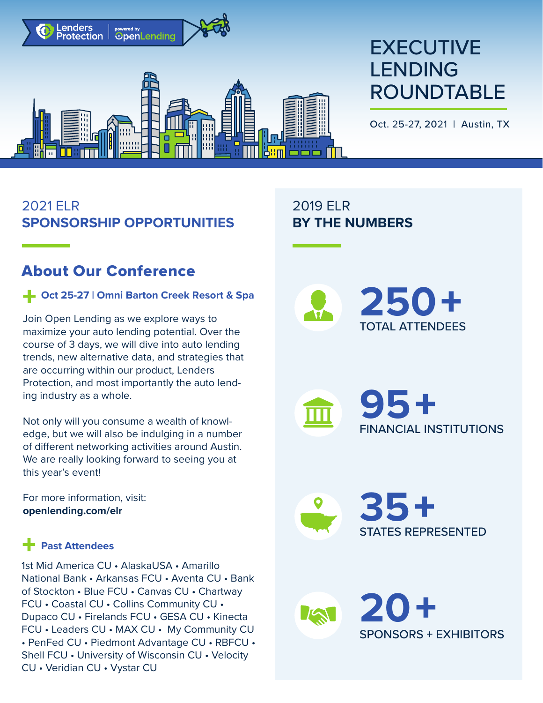

# **EXECUTIVE** LENDING ROUNDTABLE

Oct. 25-27, 2021 | Austin, TX

# 2021 ELR **SPONSORSHIP OPPORTUNITIES**

# About Our Conference

#### **Oct 25-27 | Omni Barton Creek Resort & Spa**

Join Open Lending as we explore ways to maximize your auto lending potential. Over the course of 3 days, we will dive into auto lending trends, new alternative data, and strategies that are occurring within our product, Lenders Protection, and most importantly the auto lending industry as a whole.

Not only will you consume a wealth of knowledge, but we will also be indulging in a number of different networking activities around Austin. We are really looking forward to seeing you at this year's event!

For more information, visit: **[openlending.com/elr](https://www.openlending.com/elr)**

## **Past Attendees**

• PenFed CU • Piedmont Advantage CU • RBFCU • Shell FCU • University of Wisconsin CU • Velocity CU • Veridian CU • Vystar CU 1st Mid America CU • AlaskaUSA • Amarillo National Bank • Arkansas FCU • Aventa CU • Bank of Stockton • Blue FCU • Canvas CU • Chartway FCU • Coastal CU • Collins Community CU • Dupaco CU • Firelands FCU • GESA CU • Kinecta FCU • Leaders CU • MAX CU • My Community CU

2019 ELR **BY THE NUMBERS**



**95**+ FINANCIAL INSTITUTIONS